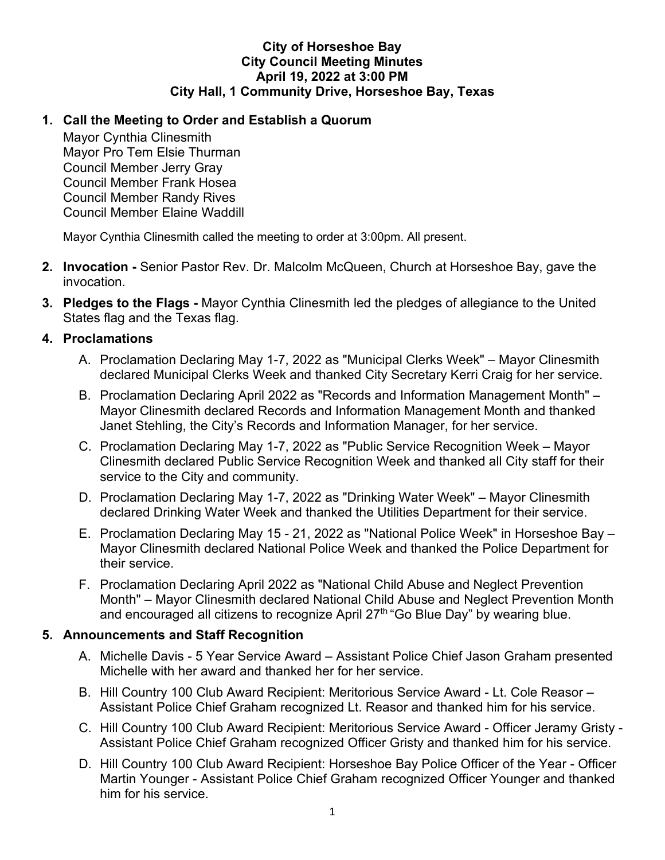### **City of Horseshoe Bay City Council Meeting Minutes April 19, 2022 at 3:00 PM City Hall, 1 Community Drive, Horseshoe Bay, Texas**

# **1. Call the Meeting to Order and Establish a Quorum**

Mayor Cynthia Clinesmith Mayor Pro Tem Elsie Thurman Council Member Jerry Gray Council Member Frank Hosea Council Member Randy Rives Council Member Elaine Waddill

Mayor Cynthia Clinesmith called the meeting to order at 3:00pm. All present.

- **2. Invocation -** Senior Pastor Rev. Dr. Malcolm McQueen, Church at Horseshoe Bay, gave the invocation.
- **3. Pledges to the Flags -** Mayor Cynthia Clinesmith led the pledges of allegiance to the United States flag and the Texas flag.

## **4. Proclamations**

- A. Proclamation Declaring May 1-7, 2022 as "Municipal Clerks Week" Mayor Clinesmith declared Municipal Clerks Week and thanked City Secretary Kerri Craig for her service.
- B. Proclamation Declaring April 2022 as "Records and Information Management Month" Mayor Clinesmith declared Records and Information Management Month and thanked Janet Stehling, the City's Records and Information Manager, for her service.
- C. Proclamation Declaring May 1-7, 2022 as "Public Service Recognition Week Mayor Clinesmith declared Public Service Recognition Week and thanked all City staff for their service to the City and community.
- D. Proclamation Declaring May 1-7, 2022 as "Drinking Water Week" Mayor Clinesmith declared Drinking Water Week and thanked the Utilities Department for their service.
- E. Proclamation Declaring May 15 21, 2022 as "National Police Week" in Horseshoe Bay Mayor Clinesmith declared National Police Week and thanked the Police Department for their service.
- F. Proclamation Declaring April 2022 as "National Child Abuse and Neglect Prevention Month" – Mayor Clinesmith declared National Child Abuse and Neglect Prevention Month and encouraged all citizens to recognize April 27<sup>th</sup> "Go Blue Day" by wearing blue.

## **5. Announcements and Staff Recognition**

- A. Michelle Davis 5 Year Service Award Assistant Police Chief Jason Graham presented Michelle with her award and thanked her for her service.
- B. Hill Country 100 Club Award Recipient: Meritorious Service Award Lt. Cole Reasor Assistant Police Chief Graham recognized Lt. Reasor and thanked him for his service.
- C. Hill Country 100 Club Award Recipient: Meritorious Service Award Officer Jeramy Gristy Assistant Police Chief Graham recognized Officer Gristy and thanked him for his service.
- D. Hill Country 100 Club Award Recipient: Horseshoe Bay Police Officer of the Year Officer Martin Younger - Assistant Police Chief Graham recognized Officer Younger and thanked him for his service.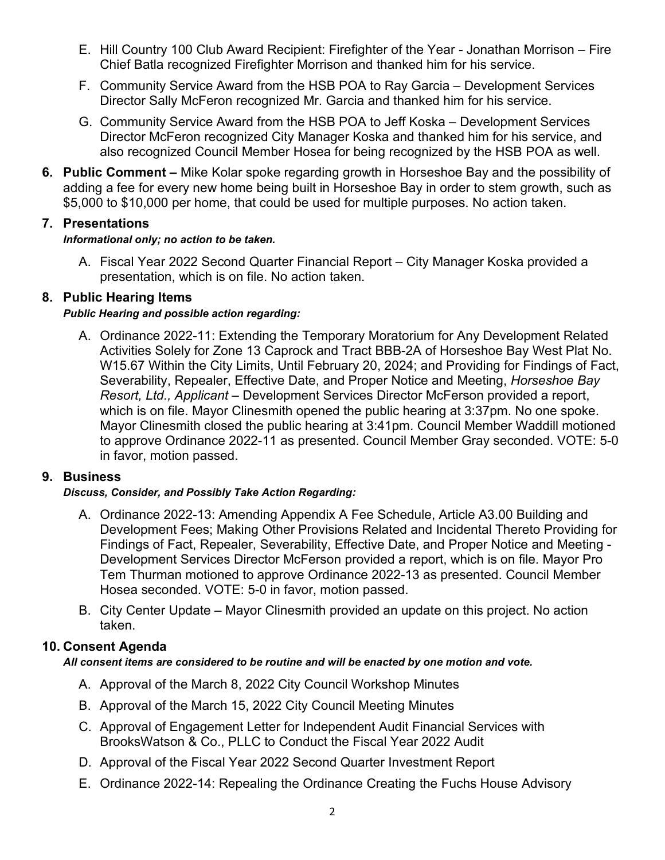- E. Hill Country 100 Club Award Recipient: Firefighter of the Year Jonathan Morrison Fire Chief Batla recognized Firefighter Morrison and thanked him for his service.
- F. Community Service Award from the HSB POA to Ray Garcia Development Services Director Sally McFeron recognized Mr. Garcia and thanked him for his service.
- G. Community Service Award from the HSB POA to Jeff Koska Development Services Director McFeron recognized City Manager Koska and thanked him for his service, and also recognized Council Member Hosea for being recognized by the HSB POA as well.
- **6. Public Comment –** Mike Kolar spoke regarding growth in Horseshoe Bay and the possibility of adding a fee for every new home being built in Horseshoe Bay in order to stem growth, such as \$5,000 to \$10,000 per home, that could be used for multiple purposes. No action taken.

### **7. Presentations**

#### *Informational only; no action to be taken.*

 A. Fiscal Year 2022 Second Quarter Financial Report – City Manager Koska provided a presentation, which is on file. No action taken.

#### **8. Public Hearing Items**

#### *Public Hearing and possible action regarding:*

A. Ordinance 2022-11: Extending the Temporary Moratorium for Any Development Related Activities Solely for Zone 13 Caprock and Tract BBB-2A of Horseshoe Bay West Plat No. W15.67 Within the City Limits, Until February 20, 2024; and Providing for Findings of Fact, Severability, Repealer, Effective Date, and Proper Notice and Meeting, *Horseshoe Bay Resort, Ltd., Applicant –* Development Services Director McFerson provided a report, which is on file. Mayor Clinesmith opened the public hearing at 3:37pm. No one spoke. Mayor Clinesmith closed the public hearing at 3:41pm. Council Member Waddill motioned to approve Ordinance 2022-11 as presented. Council Member Gray seconded. VOTE: 5-0 in favor, motion passed.

#### **9. Business**

#### *Discuss, Consider, and Possibly Take Action Regarding:*

- A. Ordinance 2022-13: Amending Appendix A Fee Schedule, Article A3.00 Building and Development Fees; Making Other Provisions Related and Incidental Thereto Providing for Findings of Fact, Repealer, Severability, Effective Date, and Proper Notice and Meeting - Development Services Director McFerson provided a report, which is on file. Mayor Pro Tem Thurman motioned to approve Ordinance 2022-13 as presented. Council Member Hosea seconded. VOTE: 5-0 in favor, motion passed.
- B. City Center Update Mayor Clinesmith provided an update on this project. No action taken.

#### **10. Consent Agenda**

#### *All consent items are considered to be routine and will be enacted by one motion and vote.*

- A. Approval of the March 8, 2022 City Council Workshop Minutes
- B. Approval of the March 15, 2022 City Council Meeting Minutes
- C. Approval of Engagement Letter for Independent Audit Financial Services with BrooksWatson & Co., PLLC to Conduct the Fiscal Year 2022 Audit
- D. Approval of the Fiscal Year 2022 Second Quarter Investment Report
- E. Ordinance 2022-14: Repealing the Ordinance Creating the Fuchs House Advisory